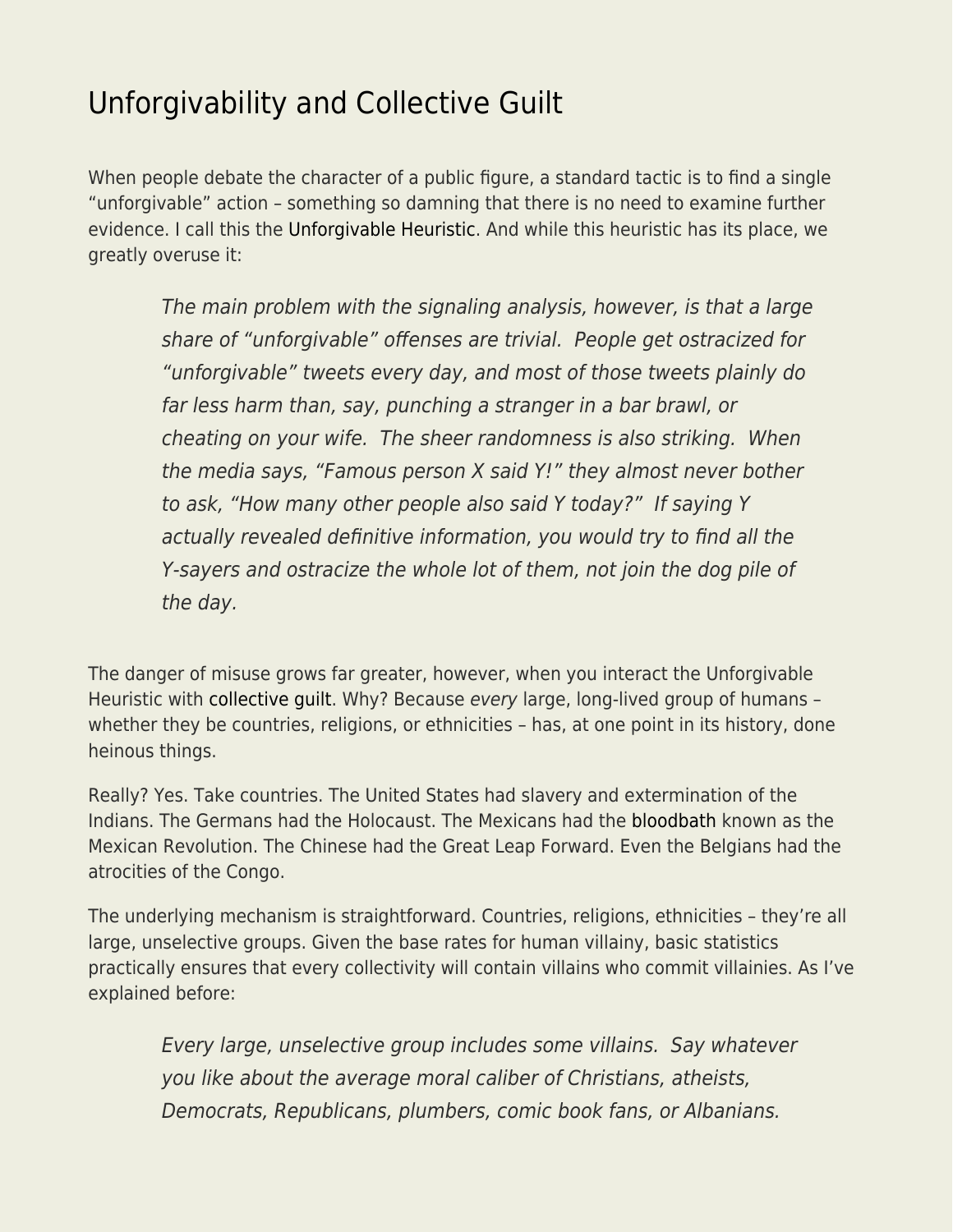## [Unforgivability and Collective Guilt](https://everything-voluntary.com/unforgivability-and-collective-guilt)

When people debate the character of a public figure, a standard tactic is to find a single "unforgivable" action – something so damning that there is no need to examine further evidence. I call this the [Unforgivable Heuristic.](https://betonit.blog/2022/03/03/unforgivable/) And while this heuristic has its place, we greatly overuse it:

The main problem with the signaling analysis, however, is that a large share of "unforgivable" offenses are trivial. People get ostracized for "unforgivable" tweets every day, and most of those tweets plainly do far less harm than, say, punching a stranger in a bar brawl, or cheating on your wife. The sheer randomness is also striking. When the media says, "Famous person X said Y!" they almost never bother to ask, "How many other people also said Y today?" If saying Y actually revealed definitive information, you would try to find all the Y-sayers and ostracize the whole lot of them, not join the dog pile of the day.

The danger of misuse grows far greater, however, when you interact the Unforgivable Heuristic with [collective guilt](http://www.econlib.org/collective-guilt-a-socratic-dialogue/). Why? Because every large, long-lived group of humans – whether they be countries, religions, or ethnicities - has, at one point in its history, done heinous things.

Really? Yes. Take countries. The United States had slavery and extermination of the Indians. The Germans had the Holocaust. The Mexicans had the [bloodbath](https://www.econlib.org/?p=45653) known as the Mexican Revolution. The Chinese had the Great Leap Forward. Even the Belgians had the atrocities of the Congo.

The underlying mechanism is straightforward. Countries, religions, ethnicities – they're all large, unselective groups. Given the base rates for human villainy, basic statistics practically ensures that every collectivity will contain villains who commit villainies. As I've explained before:

Every large, unselective group includes some villains. Say whatever you like about the average moral caliber of Christians, atheists, Democrats, Republicans, plumbers, comic book fans, or Albanians.